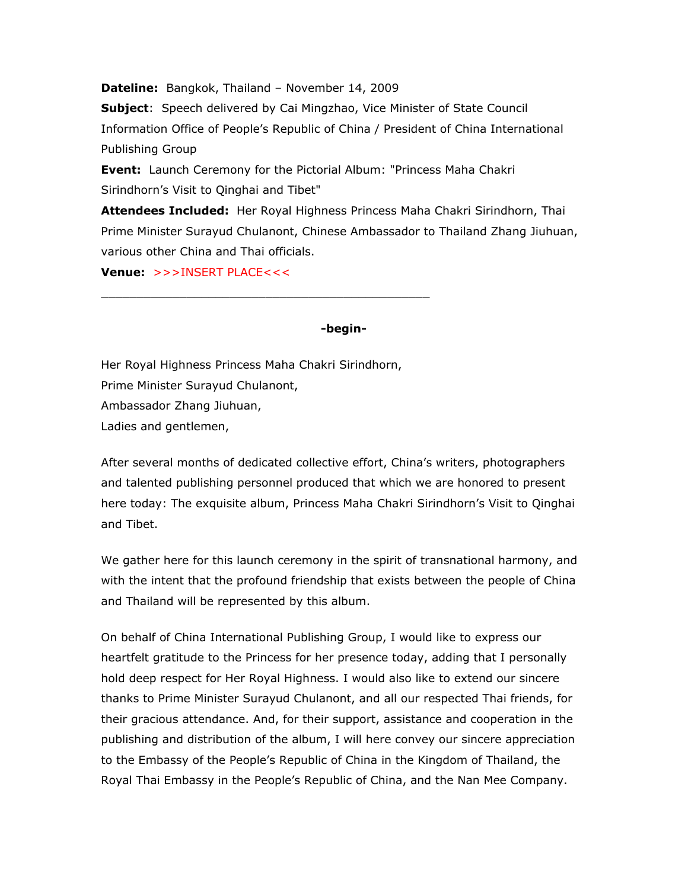**Dateline:** Bangkok, Thailand – November 14, 2009

**Subject**: Speech delivered by Cai Mingzhao, Vice Minister of State Council Information Office of People's Republic of China / President of China International Publishing Group

**Event:** Launch Ceremony for the Pictorial Album: "Princess Maha Chakri Sirindhorn's Visit to Qinghai and Tibet"

**Attendees Included:** Her Royal Highness Princess Maha Chakri Sirindhorn, Thai Prime Minister Surayud Chulanont, Chinese Ambassador to Thailand Zhang Jiuhuan, various other China and Thai officials.

**Venue:** >>>INSERT PLACE<<<

## **-begin-**

Her Royal Highness Princess Maha Chakri Sirindhorn, Prime Minister Surayud Chulanont, Ambassador Zhang Jiuhuan, Ladies and gentlemen,

\_\_\_\_\_\_\_\_\_\_\_\_\_\_\_\_\_\_\_\_\_\_\_\_\_\_\_\_\_\_\_\_\_\_\_\_\_\_\_\_\_\_\_\_\_\_

After several months of dedicated collective effort, China's writers, photographers and talented publishing personnel produced that which we are honored to present here today: The exquisite album, Princess Maha Chakri Sirindhorn's Visit to Qinghai and Tibet.

We gather here for this launch ceremony in the spirit of transnational harmony, and with the intent that the profound friendship that exists between the people of China and Thailand will be represented by this album.

On behalf of China International Publishing Group, I would like to express our heartfelt gratitude to the Princess for her presence today, adding that I personally hold deep respect for Her Royal Highness. I would also like to extend our sincere thanks to Prime Minister Surayud Chulanont, and all our respected Thai friends, for their gracious attendance. And, for their support, assistance and cooperation in the publishing and distribution of the album, I will here convey our sincere appreciation to the Embassy of the People's Republic of China in the Kingdom of Thailand, the Royal Thai Embassy in the People's Republic of China, and the Nan Mee Company.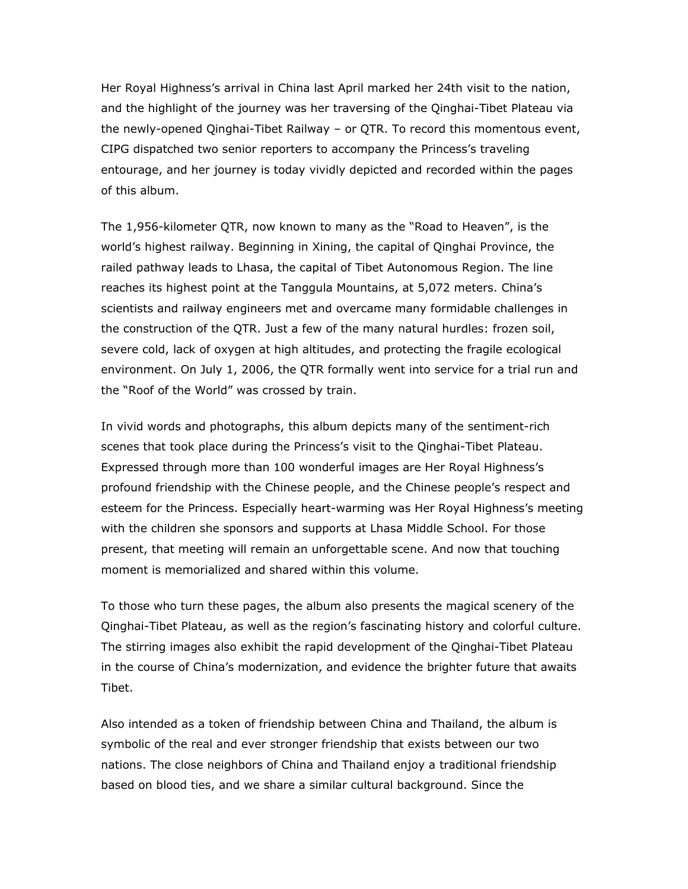Her Royal Highness's arrival in China last April marked her 24th visit to the nation, and the highlight of the journey was her traversing of the Qinghai-Tibet Plateau via the newly-opened Qinghai-Tibet Railway – or QTR. To record this momentous event, CIPG dispatched two senior reporters to accompany the Princess's traveling entourage, and her journey is today vividly depicted and recorded within the pages of this album.

The 1,956-kilometer QTR, now known to many as the "Road to Heaven", is the world's highest railway. Beginning in Xining, the capital of Qinghai Province, the railed pathway leads to Lhasa, the capital of Tibet Autonomous Region. The line reaches its highest point at the Tanggula Mountains, at 5,072 meters. China's scientists and railway engineers met and overcame many formidable challenges in the construction of the QTR. Just a few of the many natural hurdles: frozen soil, severe cold, lack of oxygen at high altitudes, and protecting the fragile ecological environment. On July 1, 2006, the QTR formally went into service for a trial run and the "Roof of the World" was crossed by train.

In vivid words and photographs, this album depicts many of the sentiment-rich scenes that took place during the Princess's visit to the Qinghai-Tibet Plateau. Expressed through more than 100 wonderful images are Her Royal Highness's profound friendship with the Chinese people, and the Chinese people's respect and esteem for the Princess. Especially heart-warming was Her Royal Highness's meeting with the children she sponsors and supports at Lhasa Middle School. For those present, that meeting will remain an unforgettable scene. And now that touching moment is memorialized and shared within this volume.

To those who turn these pages, the album also presents the magical scenery of the Qinghai-Tibet Plateau, as well as the region's fascinating history and colorful culture. The stirring images also exhibit the rapid development of the Qinghai-Tibet Plateau in the course of China's modernization, and evidence the brighter future that awaits Tibet.

Also intended as a token of friendship between China and Thailand, the album is symbolic of the real and ever stronger friendship that exists between our two nations. The close neighbors of China and Thailand enjoy a traditional friendship based on blood ties, and we share a similar cultural background. Since the